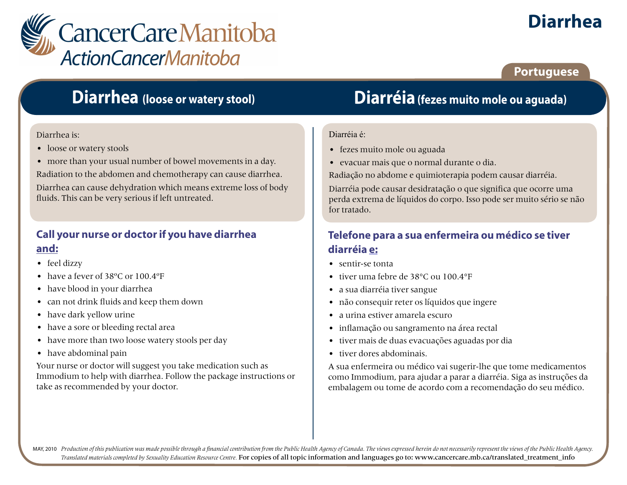

# **Diarrhea**

**Portuguese**

## **Diarrhea (loose or watery stool)**

#### Diarrhea is:

- loose or watery stools
- more than your usual number of bowel movements in a day.

Radiation to the abdomen and chemotherapy can cause diarrhea.

Diarrhea can cause dehydration which means extreme loss of body fluids. This can be very serious if left untreated.

### **Call your nurse or doctor if you have diarrhea and:**

- feel dizzy
- have a fever of 38°C or 100.4°F
- have blood in your diarrhea
- can not drink fluids and keep them down
- have dark yellow urine
- have a sore or bleeding rectal area
- have more than two loose watery stools per day
- have abdominal pain

Your nurse or doctor will suggest you take medication such as Immodium to help with diarrhea. Follow the package instructions or take as recommended by your doctor.

## **Diarréia(fezes muito mole ou aguada)**

#### Diarréia é:

- fezes muito mole ou aguada
- evacuar mais que o normal durante o dia.

Radiação no abdome e quimioterapia podem causar diarréia.

Diarréia pode causar desidratação o que significa que ocorre uma perda extrema de líquidos do corpo. Isso pode ser muito sério se não for tratado.

### **Telefone para a sua enfermeira ou médico se tiver diarréia e:**

- sentir-se tonta
- tiver uma febre de 38°C ou 100.4°F
- a sua diarréia tiver sangue
- não consequir reter os líquidos que ingere
- a urina estiver amarela escuro
- inflamação ou sangramento na área rectal
- tiver mais de duas evacuações aguadas por dia
- tiver dores abdominais.

A sua enfermeira ou médico vai sugerir-lhe que tome medicamentos como Immodium, para ajudar a parar a diarréia. Siga as instruções da embalagem ou tome de acordo com a recomendação do seu médico.

MAY, 2010 Production of this publication was made possible through a financial contribution from the Public Health Agency of Canada. The views expressed herein do not necessarily represent the views of the Public Health Ag *Translated materials completed by Sexuality Education Resource Centre.* For copies of all topic information and languages go to: www.cancercare.mb.ca/translated\_treatment\_info